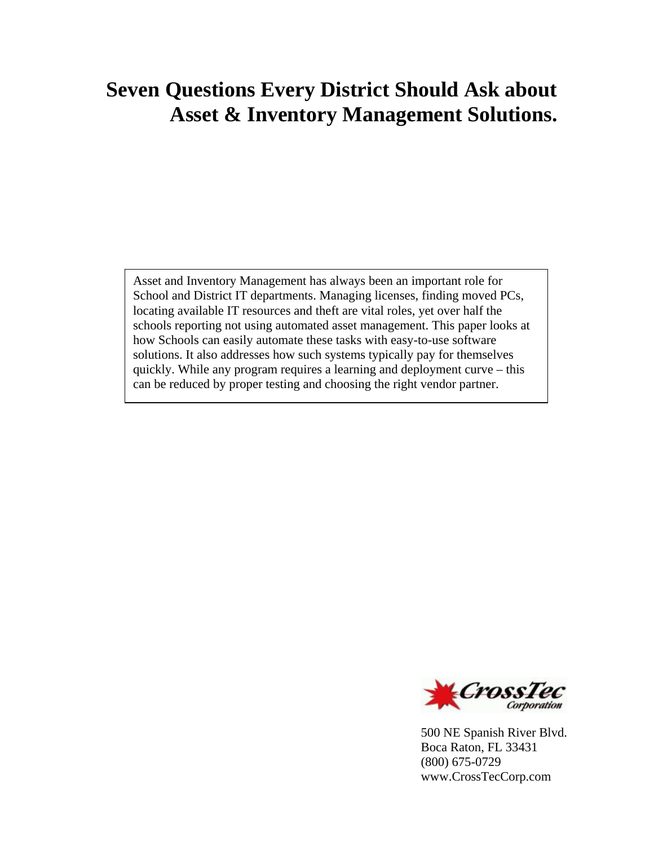# **Seven Questions Every District Should Ask about Asset & Inventory Management Solutions.**

Asset and Inventory Management has always been an important role for School and District IT departments. Managing licenses, finding moved PCs, locating available IT resources and theft are vital roles, yet over half the schools reporting not using automated asset management. This paper looks at how Schools can easily automate these tasks with easy-to-use software solutions. It also addresses how such systems typically pay for themselves quickly. While any program requires a learning and deployment curve – this can be reduced by proper testing and choosing the right vendor partner.



500 NE Spanish River Blvd. Boca Raton, FL 33431 (800) 675-0729 www.CrossTecCorp.com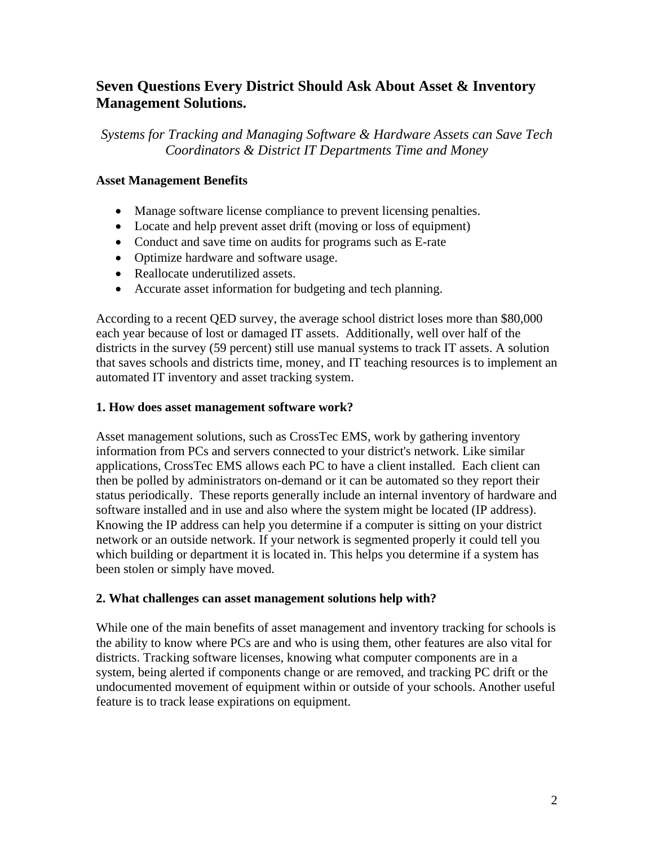# **Seven Questions Every District Should Ask About Asset & Inventory Management Solutions.**

*Systems for Tracking and Managing Software & Hardware Assets can Save Tech Coordinators & District IT Departments Time and Money* 

# **Asset Management Benefits**

- Manage software license compliance to prevent licensing penalties.
- Locate and help prevent asset drift (moving or loss of equipment)
- Conduct and save time on audits for programs such as E-rate
- Optimize hardware and software usage.
- Reallocate underutilized assets.
- Accurate asset information for budgeting and tech planning.

According to a recent QED survey, the average school district loses more than \$80,000 each year because of lost or damaged IT assets. Additionally, well over half of the districts in the survey (59 percent) still use manual systems to track IT assets. A solution that saves schools and districts time, money, and IT teaching resources is to implement an automated IT inventory and asset tracking system.

# **1. How does asset management software work?**

Asset management solutions, such as CrossTec EMS, work by gathering inventory information from PCs and servers connected to your district's network. Like similar applications, CrossTec EMS allows each PC to have a client installed. Each client can then be polled by administrators on-demand or it can be automated so they report their status periodically. These reports generally include an internal inventory of hardware and software installed and in use and also where the system might be located (IP address). Knowing the IP address can help you determine if a computer is sitting on your district network or an outside network. If your network is segmented properly it could tell you which building or department it is located in. This helps you determine if a system has been stolen or simply have moved.

# **2. What challenges can asset management solutions help with?**

While one of the main benefits of asset management and inventory tracking for schools is the ability to know where PCs are and who is using them, other features are also vital for districts. Tracking software licenses, knowing what computer components are in a system, being alerted if components change or are removed, and tracking PC drift or the undocumented movement of equipment within or outside of your schools. Another useful feature is to track lease expirations on equipment.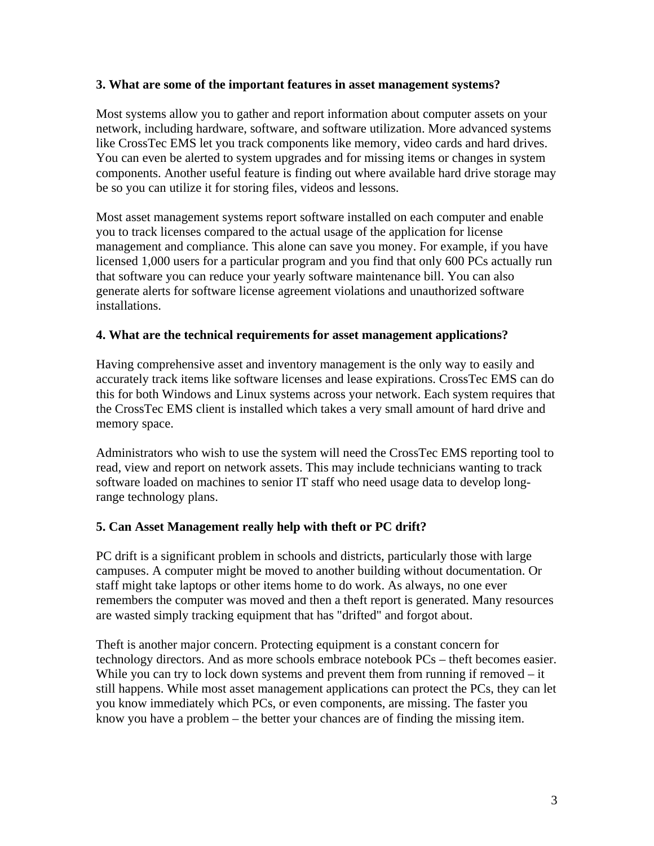#### **3. What are some of the important features in asset management systems?**

Most systems allow you to gather and report information about computer assets on your network, including hardware, software, and software utilization. More advanced systems like CrossTec EMS let you track components like memory, video cards and hard drives. You can even be alerted to system upgrades and for missing items or changes in system components. Another useful feature is finding out where available hard drive storage may be so you can utilize it for storing files, videos and lessons.

Most asset management systems report software installed on each computer and enable you to track licenses compared to the actual usage of the application for license management and compliance. This alone can save you money. For example, if you have licensed 1,000 users for a particular program and you find that only 600 PCs actually run that software you can reduce your yearly software maintenance bill. You can also generate alerts for software license agreement violations and unauthorized software installations.

# **4. What are the technical requirements for asset management applications?**

Having comprehensive asset and inventory management is the only way to easily and accurately track items like software licenses and lease expirations. CrossTec EMS can do this for both Windows and Linux systems across your network. Each system requires that the CrossTec EMS client is installed which takes a very small amount of hard drive and memory space.

Administrators who wish to use the system will need the CrossTec EMS reporting tool to read, view and report on network assets. This may include technicians wanting to track software loaded on machines to senior IT staff who need usage data to develop longrange technology plans.

# **5. Can Asset Management really help with theft or PC drift?**

PC drift is a significant problem in schools and districts, particularly those with large campuses. A computer might be moved to another building without documentation. Or staff might take laptops or other items home to do work. As always, no one ever remembers the computer was moved and then a theft report is generated. Many resources are wasted simply tracking equipment that has "drifted" and forgot about.

Theft is another major concern. Protecting equipment is a constant concern for technology directors. And as more schools embrace notebook PCs – theft becomes easier. While you can try to lock down systems and prevent them from running if removed – it still happens. While most asset management applications can protect the PCs, they can let you know immediately which PCs, or even components, are missing. The faster you know you have a problem – the better your chances are of finding the missing item.